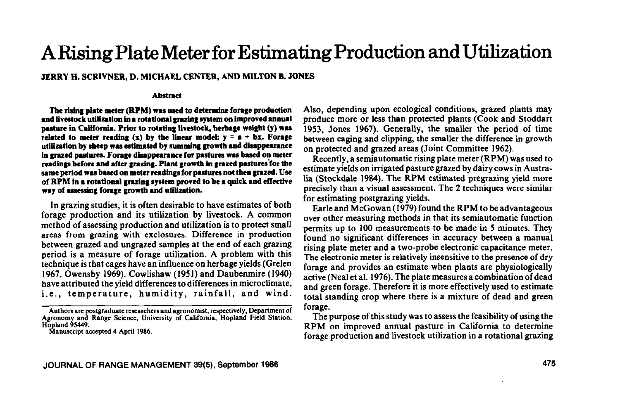# **ARising Plate Meter for Estimating Production and Utilization**

## **JERRY H. SCRIVNER, D. MICHAEL CENTER, AND MILTON B. JONES**

#### **Abatmct**

The rising plate meter (RPM) was used to determine forage production and livestock utilization in a rotational grazing system on improved annual pasture in California. Prior to rotating livestock, herbage weight (y) was related to meter reading  $(x)$  by the linear model:  $y = a + bx$ . Forage utilization by sheep was estimated by summing growth and disappearance in grazed pastures. Forage disappearance for pastures was based on meter readings before and after grazing. Plant growth in grazed pastures for the same period was based on meter readings for pastures not then grazed. Use of RPM in a rotational grazing system proved to be a quick and effective way of assessing forage growth and utilization.

In grazing studies, it is often desirable to have estimates of both forage production and its utilization by livestock. A common method of assessing production and utilization is to protect small areas from grazing with exclosures. Difference in production between grazed and ungrazed samples at the end of each grazing period is a measure of forage utilization. A problem with this technique is that cages have an influence on herbage yields (Grelen 1967, Owensby 1969). Cowlishaw (1951) and Daubenmire (1940) have attributed the yield differences to differences in microclimate, i.e., temperature, humidity, rainfall, and wind. Also, depending upon ecological conditions, grazed plants may produce more or less than protected plants (Cook and Stoddart 1953, Jones 1967). Generally, the smaller the period of time between caging and clipping, the smaller the difference in growth on protected and grazed areas (Joint Committee 1962).

Recently, a semiautomatic rising plate meter (RPM) was used to estimate yields on irrigated pasture grazed by dairy cows in Australia (Stockdale 1984). The RPM estimated pregrazing yield more precisely than a visual assessment. The 2 techniques were similar for estimating postgrazing yields.

Earle and McGowan (1979) found the RPM to be advantageous over other measuring methods in that its semiautomatic function permits up to 100 measurements to be made in 5 minutes. They found no significant differences in accuracy between a manual rising plate meter and a two-probe electronic capacitance meter. The electronic meter is relatively insensitive to the presence of dry forage and provides an estimate when plants are physiologically active (Neal et al. 1976). The plate measures a combination of dead and green forage. Therefore it is more effectively used to estimate total standing crop where there is a mixture of dead and green forage.

The purpose of this study was to assess the feasibility of using the RPM on improved annual pasture in California to determine forage production and livestock utilization in a rotational grazing

**Authors are postgraduate researchers and agronomist, respectively, Department of Agronomy and Range Science, University of California, Hopland Field Station, Hopland 95449.** 

**Manuscript accepted 4 April 1986.**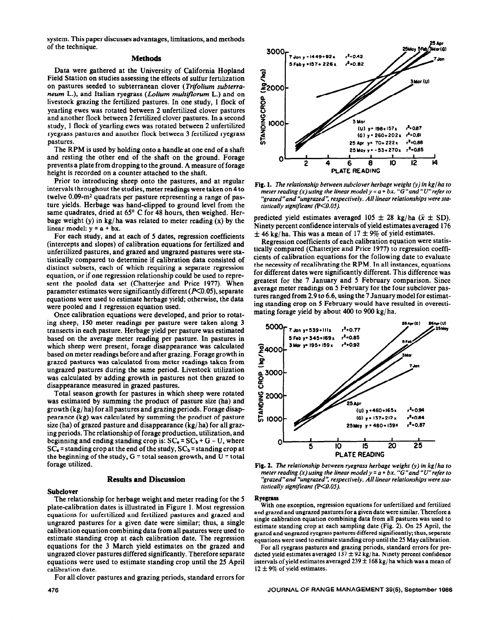system. This paper discusses advantages, limitations, and methods of the technique.

## **Methods**

Data were gathered at the University of California Hopland Field Station on studies assessing the effects of sulfur fertilization on pastures seeded to subterranean clover (Trifolium *subterroneum* L.), and Italian ryegrass *(L&urn multtflorum* L.) and on livestock grazing the fertilized pastures. In one study, 1 flock of yearling ewes was rotated between 2 unfertilized clover pastures and another flock between 2 fertilized clover pastures. In a second study, 1 flock of yearling ewes was rotated between 2 unfertilized ryegrass pastures and another flock between 3 fertilized ryegrass pastures.

The RPM is used by holding onto a handle at one end of a shaft and resting the other end of the shaft on the ground. Forage prevents a plate from dropping to the ground. A measure of forage height is recorded on a counter attached to the shaft.

Prior to introducing sheep onto the pastures, and at regular intervals throughout the studies, meter readings were taken on 4 to twelve  $0.09\text{-m}^2$  quadrats per pasture representing a range of pasture yields. Herbage was hand-clipped to ground level from the same quadrates, dried at 65° C for 48 hours, then weighed. Herbage weight (y) in kg/ha was related to meter reading  $(x)$  by the linear model:  $y = a + bx$ .

For each study, and at each of 5 dates, regression coefficients (intercepts and slopes) of calibration equations for fertilized and unfertilized pastures, and grazed and ungrazed pastures were statistically compared to determine if calibration data consisted of distinct subsets, each of which requiring a separate regression equation, or if one regression relationship could be used to represent the pooled data set (Chatterjee and Price 1977). When parameter estimates were significantly different ( $P<0.05$ ), separate equations were used to estimate herbage yield; otherwise, the data were pooled and 1 regression equation used.

Once calibration equations were developed, and prior to rotating sheep, 150 meter readings per pasture were taken along 3 transects in each pasture. Herbage yield per pasture was estimated based on the average meter reading per pasture. In pastures in which sheep were present, forage disappearance was calculated based on meter readings before and after grazing. Forage growth in grazed pastures was calculated from meter readings taken from ungrazed pastures during the same period. Livestock utilization was calculated by adding growth in pastures not then grazed to disappearance measured in grazed pastures.

Total season growth for pastures in which sheep were rotated was estimated by summing the product of pasture size (ha) and growth (kg/ ha) for all pastures and grazing periods. Forage disappearance (kg) was calculated by summing the product of pasture size (ha) of grazed pasture and disappearance (kg/ ha) for all grazing periods. The relationship of forage production, utilization, and beginning and ending standing crop is:  $SC_e = SC_b + G - U$ , where  $SC<sub>e</sub>$  = standing crop at the end of the study,  $SC<sub>b</sub>$  = standing crop at the beginning of the study,  $G =$  total season growth, and  $U =$  total forage utilized.

## **Results and Discussion**

## **Subclover**

The relationship for herbage weight and meter reading for the 5 plate-calibration dates is illustrated in Figure 1. Most regression equations for unfertilized and fertilized pastures and grazed and ungrazed pastures for a given date were similar; thus, a single calibration equation combining data from all pastures were used to estimate standing crop at each calibration date. The regression equations for the 3 March yield estimates on the grazed and ungrazed clover pastures differed significantly. Therefore separate equations were used to estimate standing crop until the 25 April calibration date.

For all clover pastures and grazing periods, standard errors for

**30009 7 Jan y \* 1449+92r**   $1.042$  $A = 0.82$ **5Faby =IST+ 22611**  ၉ 3 Mor (U)  $2000$ ጅ 2 g IOOO-Mor r= **196+157x ho.67 y = 260+202 I ?=OSl f**  25 Apr y\* 70+ 222 x  $r^2$  = 0.88 **SJ y= -53+270~**   $\frac{1}{2}$   $\frac{1}{2}$   $\frac{1}{2}$   $\frac{1}{2}$   $\frac{1}{2}$   $\frac{1}{2}$  ,  $\frac{1}{2}$  ,  $\frac{1}{2}$  ,  $\frac{1}{2}$  ,  $\frac{1}{2}$  ,  $\frac{1}{2}$  ,  $\frac{1}{2}$  ,  $\frac{1}{2}$  ,  $\frac{1}{2}$  ,  $\frac{1}{2}$  ,  $\frac{1}{2}$  ,  $\frac{1}{2}$  ,  $\frac{1}{2}$  ,  $\frac{1}{2}$  ,  $\frac$ ' 2 4 6 8 IO 12 14 **PLATE READING** 



predicted yield estimates averaged 105  $\pm$  28 kg/ha ( $\bar{x} \pm$  SD). Ninety percent confidence intervals of yield estimates averaged 176  $\pm$  46 kg/ ha. This was a mean of 17  $\pm$  9% of yield estimates.

Regression coefficients of each calibration equation were statistically compared (Chatterjee and Price 1977) to regression coefficients of calibration equations for the following date to evaluate the necessity of recalibrating the RPM. In all instances, equations for different dates were significantly different. This difference was greatest for the 7 January and 5 February comparison. Since average meter readings on 5 February for the four subclover pastures ranged from 2.9 to 6.6, using the 7 January model for estimating standing crop on 5 February would have resulted in overestimating forage yield by about 400 to 900 kg/ ha.



**Fig. 2. The** relationship *between ryegrass herbage* weight (y) in *kg/ha to meter reading (x) using the linear model y = a + bx. "G"and "Wrefer to "grazed"and "ungrazed': respectively. All linear relationships were statistically significant (P<O.OS).* 

### **Ryegrass**

With one exception, regression equations for unfertilized and fertilized and grazed and ungrazed pastures for a given date were similar. Therefore a single calibration equation combining data from all pastures was used to estimate standing crop at each sampling date (Fig. 2). On 25 April, the grazed and ungrazed ryegrass pastures differed significantly; thus, separate equations were used to estimate standing crop until the 25 May calibration.

For all ryegrass pastures and grazing periods, standard errors for predicted yield estimates averaged  $137 \pm 92$  kg/ha. Ninety percent confidence intervals of yield estimates averaged  $239 \pm 168$  kg/ha which was a mean of  $12 \pm 9\%$  of yield estimates.